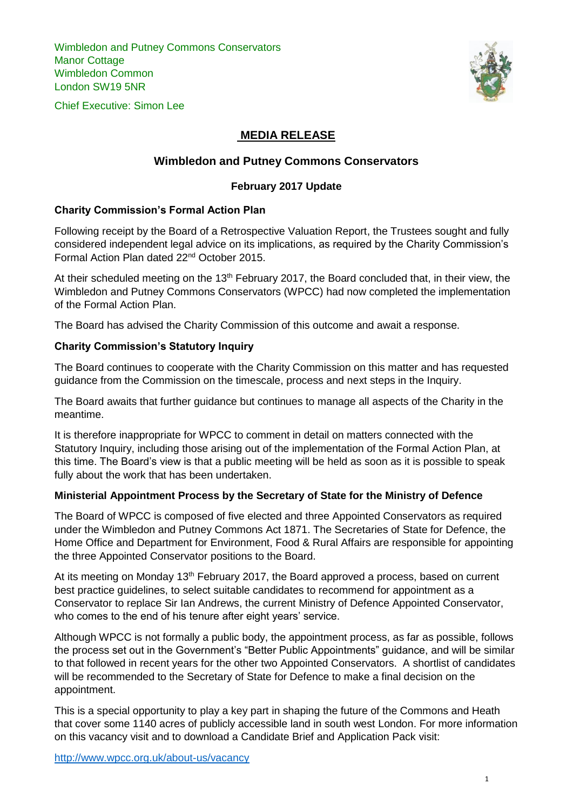Wimbledon and Putney Commons Conservators **Manor Cottage** Wimbledon Common London SW19 5NR





# **MEDIA RELEASE**

# **Wimbledon and Putney Commons Conservators**

## **February 2017 Update**

### **Charity Commission's Formal Action Plan**

Following receipt by the Board of a Retrospective Valuation Report, the Trustees sought and fully considered independent legal advice on its implications, as required by the Charity Commission's Formal Action Plan dated 22nd October 2015.

At their scheduled meeting on the 13<sup>th</sup> February 2017, the Board concluded that, in their view, the Wimbledon and Putney Commons Conservators (WPCC) had now completed the implementation of the Formal Action Plan.

The Board has advised the Charity Commission of this outcome and await a response.

### **Charity Commission's Statutory Inquiry**

The Board continues to cooperate with the Charity Commission on this matter and has requested guidance from the Commission on the timescale, process and next steps in the Inquiry.

The Board awaits that further guidance but continues to manage all aspects of the Charity in the meantime.

It is therefore inappropriate for WPCC to comment in detail on matters connected with the Statutory Inquiry, including those arising out of the implementation of the Formal Action Plan, at this time. The Board's view is that a public meeting will be held as soon as it is possible to speak fully about the work that has been undertaken.

#### **Ministerial Appointment Process by the Secretary of State for the Ministry of Defence**

The Board of WPCC is composed of five elected and three Appointed Conservators as required under the Wimbledon and Putney Commons Act 1871. The Secretaries of State for Defence, the Home Office and Department for Environment, Food & Rural Affairs are responsible for appointing the three Appointed Conservator positions to the Board.

At its meeting on Monday 13<sup>th</sup> February 2017, the Board approved a process, based on current best practice guidelines, to select suitable candidates to recommend for appointment as a Conservator to replace Sir Ian Andrews, the current Ministry of Defence Appointed Conservator, who comes to the end of his tenure after eight years' service.

Although WPCC is not formally a public body, the appointment process, as far as possible, follows the process set out in the Government's "Better Public Appointments" guidance, and will be similar to that followed in recent years for the other two Appointed Conservators. A shortlist of candidates will be recommended to the Secretary of State for Defence to make a final decision on the appointment.

This is a special opportunity to play a key part in shaping the future of the Commons and Heath that cover some 1140 acres of publicly accessible land in south west London. For more information on this vacancy visit and to download a Candidate Brief and Application Pack visit: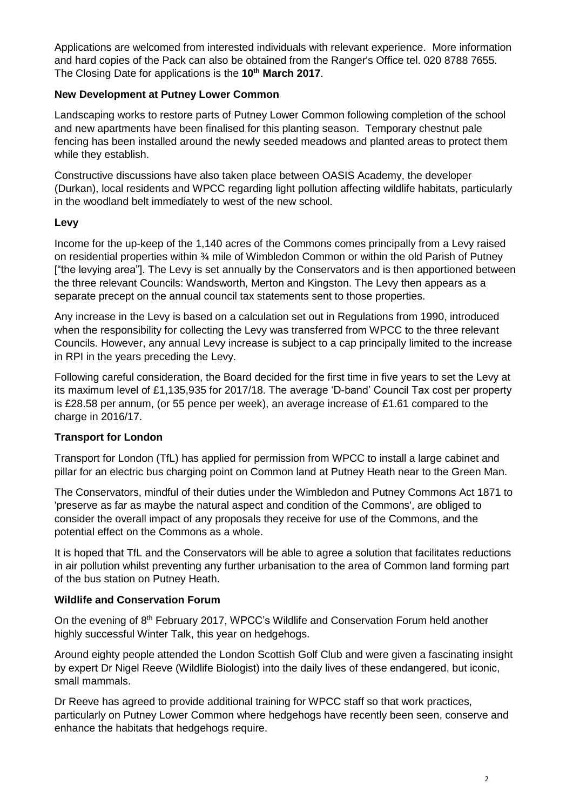Applications are welcomed from interested individuals with relevant experience. More information and hard copies of the Pack can also be obtained from the Ranger's Office tel. 020 8788 7655. The Closing Date for applications is the **10th March 2017**.

## **New Development at Putney Lower Common**

Landscaping works to restore parts of Putney Lower Common following completion of the school and new apartments have been finalised for this planting season. Temporary chestnut pale fencing has been installed around the newly seeded meadows and planted areas to protect them while they establish.

Constructive discussions have also taken place between OASIS Academy, the developer (Durkan), local residents and WPCC regarding light pollution affecting wildlife habitats, particularly in the woodland belt immediately to west of the new school.

## **Levy**

Income for the up-keep of the 1,140 acres of the Commons comes principally from a Levy raised on residential properties within ¾ mile of Wimbledon Common or within the old Parish of Putney ["the levying area"]. The Levy is set annually by the Conservators and is then apportioned between the three relevant Councils: Wandsworth, Merton and Kingston. The Levy then appears as a separate precept on the annual council tax statements sent to those properties.

Any increase in the Levy is based on a calculation set out in Regulations from 1990, introduced when the responsibility for collecting the Levy was transferred from WPCC to the three relevant Councils. However, any annual Levy increase is subject to a cap principally limited to the increase in RPI in the years preceding the Levy.

Following careful consideration, the Board decided for the first time in five years to set the Levy at its maximum level of £1,135,935 for 2017/18. The average 'D-band' Council Tax cost per property is £28.58 per annum, (or 55 pence per week), an average increase of £1.61 compared to the charge in 2016/17.

## **Transport for London**

Transport for London (TfL) has applied for permission from WPCC to install a large cabinet and pillar for an electric bus charging point on Common land at Putney Heath near to the Green Man.

The Conservators, mindful of their duties under the Wimbledon and Putney Commons Act 1871 to 'preserve as far as maybe the natural aspect and condition of the Commons', are obliged to consider the overall impact of any proposals they receive for use of the Commons, and the potential effect on the Commons as a whole.

It is hoped that TfL and the Conservators will be able to agree a solution that facilitates reductions in air pollution whilst preventing any further urbanisation to the area of Common land forming part of the bus station on Putney Heath.

#### **Wildlife and Conservation Forum**

On the evening of 8<sup>th</sup> February 2017, WPCC's Wildlife and Conservation Forum held another highly successful Winter Talk, this year on hedgehogs.

Around eighty people attended the London Scottish Golf Club and were given a fascinating insight by expert Dr Nigel Reeve (Wildlife Biologist) into the daily lives of these endangered, but iconic, small mammals.

Dr Reeve has agreed to provide additional training for WPCC staff so that work practices, particularly on Putney Lower Common where hedgehogs have recently been seen, conserve and enhance the habitats that hedgehogs require.